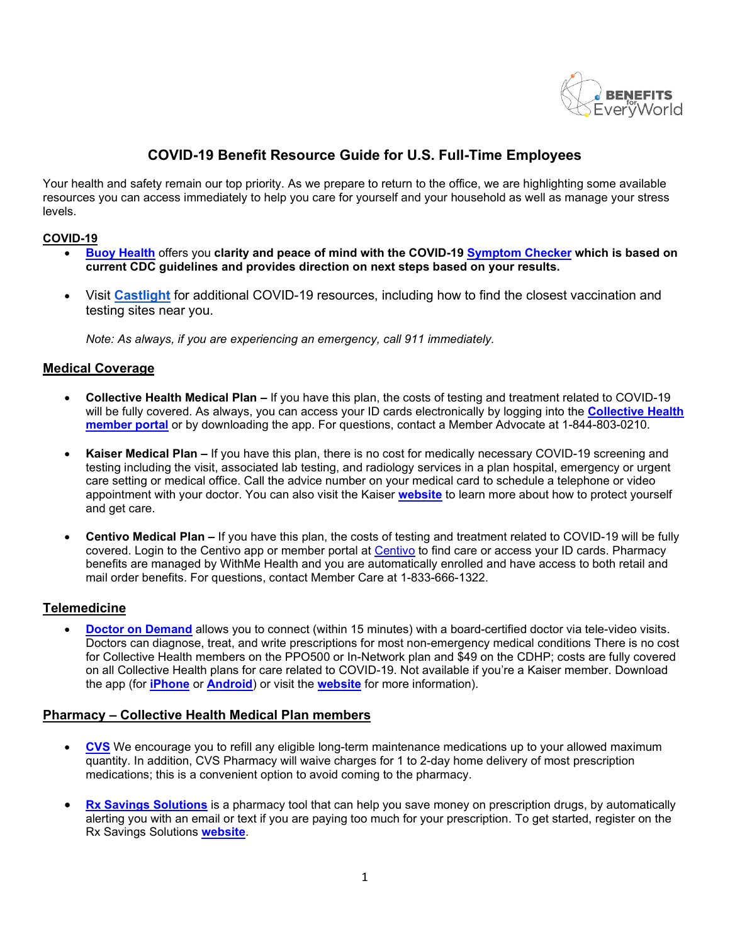

# **COVID-19 Benefit Resource Guide for U.S. Full-Time Employees**

Your health and safety remain our top priority. As we prepare to return to the office, we are highlighting some available resources you can access immediately to help you care for yourself and your household as well as manage your stress levels.

### **COVID-19**

- **[Buoy Health](https://www.buoyhealth.com/symptom-checker/)** offers you **clarity and peace of mind with the COVID-19 [Symptom Checker](https://www.buoyhealth.com/symptom-checker/) which is based on current CDC guidelines and provides direction on next steps based on your results.**
- Visit **[Castlight](https://us.castlighthealth.com/v2/user_dashboard)** for additional COVID-19 resources, including how to find the closest vaccination and testing sites near you.

*Note: As always, if you are experiencing an emergency, call 911 immediately.*

### **Medical Coverage**

- **Collective Health Medical Plan –** If you have this plan, the costs of testing and treatment related to COVID-19 will be fully covered. As always, you can access your ID cards electronically by logging into the **[Collective Health](https://my.collectivehealth.com/)  [member portal](https://my.collectivehealth.com/)** or by downloading the app. For questions, contact a Member Advocate at 1-844-803-0210.
- **Kaiser Medical Plan –** If you have this plan, there is no cost for medically necessary COVID-19 screening and testing including the visit, associated lab testing, and radiology services in a plan hospital, emergency or urgent care setting or medical office. Call the advice number on your medical card to schedule a telephone or video appointment with your doctor. You can also visit the Kaiser **[website](https://healthy.kaiserpermanente.org/southern-california/health-wellness/coronavirus-information)** to learn more about how to protect yourself and get care.
- **Centivo Medical Plan –** If you have this plan, the costs of testing and treatment related to COVID-19 will be fully covered. Login to the Centivo app or member portal at [Centivo](https://my.centivo.com/) to find care or access your ID cards. Pharmacy benefits are managed by WithMe Health and you are automatically enrolled and have access to both retail and mail order benefits. For questions, contact Member Care at 1-833-666-1322.

### **Telemedicine**

**[Doctor on Demand](https://doctorondemand.com/microsite/ab/)** allows you to connect (within 15 minutes) with a board-certified doctor via tele-video visits. Doctors can diagnose, treat, and write prescriptions for most non-emergency medical conditions There is no cost for Collective Health members on the PPO500 or In-Network plan and \$49 on the CDHP; costs are fully covered on all Collective Health plans for care related to COVID-19. Not available if you're a Kaiser member. Download the app (for **[iPhone](https://apps.apple.com/us/app/doctor-on-demand/id591981144)** or **[Android](https://play.google.com/store/apps/details?id=com.doctorondemand.android.patient&hl=en&)**) or visit the **[website](https://doctorondemand.com/microsite/ab/)** for more information).

### **Pharmacy – Collective Health Medical Plan members**

- **[CVS](https://www.caremark.com/wps/portal?ALT_AUTH=Y)** We encourage you to refill any eligible long-term maintenance medications up to your allowed maximum quantity. In addition, CVS Pharmacy will waive charges for 1 to 2-day home delivery of most prescription medications; this is a convenient option to avoid coming to the pharmacy.
- **[Rx Savings Solutions](https://activisionblizzard.rxsavingssolutions.com/register)** is a pharmacy tool that can help you save money on prescription drugs, by automatically alerting you with an email or text if you are paying too much for your prescription. To get started, register on the Rx Savings Solutions **[website](https://activisionblizzard.rxsavingssolutions.com/register/verify)**.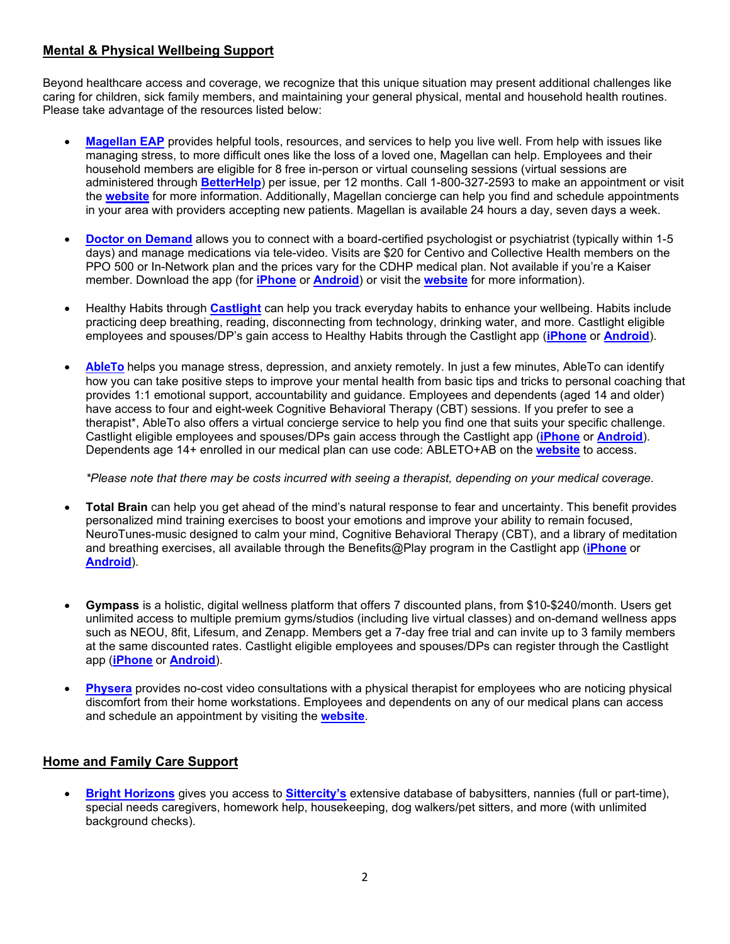# **Mental & Physical Wellbeing Support**

Beyond healthcare access and coverage, we recognize that this unique situation may present additional challenges like caring for children, sick family members, and maintaining your general physical, mental and household health routines. Please take advantage of the resources listed below:

- **[Magellan EAP](https://www.magellanascend.com/)** provides helpful tools, resources, and services to help you live well. From help with issues like managing stress, to more difficult ones like the loss of a loved one, Magellan can help. Employees and their household members are eligible for 8 free in-person or virtual counseling sessions (virtual sessions are administered through **[BetterHelp](https://www.betterhelp.com/magellan/)**) per issue, per 12 months. Call 1-800-327-2593 to make an appointment or visit the **[website](https://www.magellanascend.com/)** for more information. Additionally, Magellan concierge can help you find and schedule appointments in your area with providers accepting new patients. Magellan is available 24 hours a day, seven days a week.
- **[Doctor on Demand](https://doctorondemand.com/microsite/ab/)** allows you to connect with a board-certified psychologist or psychiatrist (typically within 1-5 days) and manage medications via tele-video. Visits are \$20 for Centivo and Collective Health members on the PPO 500 or In-Network plan and the prices vary for the CDHP medical plan. Not available if you're a Kaiser member. Download the app (for **[iPhone](https://apps.apple.com/us/app/doctor-on-demand/id591981144)** or **[Android](https://play.google.com/store/apps/details?id=com.doctorondemand.android.patient&hl=en&)**) or visit the **[website](https://doctorondemand.com/microsite/ab/)** for more information).
- Healthy Habits through **[Castlight](https://us.castlighthealth.com/v2/login)** can help you track everyday habits to enhance your wellbeing. Habits include practicing deep breathing, reading, disconnecting from technology, drinking water, and more. Castlight eligible employees and spouses/DP's gain access to Healthy Habits through the Castlight app (**[iPhone](https://apps.apple.com/us/app/castlight-mobile/id503468685)** or **[Android](https://play.google.com/store/apps/details?id=com.castlight.clh.view&hl=en_US&gl=US)**).
- **[AbleTo](https://app.ableto.com/ab)** helps you manage stress, depression, and anxiety remotely. In just a few minutes, AbleTo can identify how you can take positive steps to improve your mental health from basic tips and tricks to personal coaching that provides 1:1 emotional support, accountability and guidance. Employees and dependents (aged 14 and older) have access to four and eight-week Cognitive Behavioral Therapy (CBT) sessions. If you prefer to see a therapist\*, AbleTo also offers a virtual concierge service to help you find one that suits your specific challenge. Castlight eligible employees and spouses/DPs gain access through the Castlight app (**[iPhone](https://apps.apple.com/us/app/castlight-mobile/id503468685)** or **[Android](https://play.google.com/store/apps/details?id=com.castlight.clh.view&hl=en_US&gl=US)**). Dependents age 14+ enrolled in our medical plan can use code: ABLETO+AB on the **[website](https://app.ableto.com/ab)** to access.

#### *\*Please note that there may be costs incurred with seeing a therapist, depending on your medical coverage.*

- **Total Brain** can help you get ahead of the mind's natural response to fear and uncertainty. This benefit provides personalized mind training exercises to boost your emotions and improve your ability to remain focused, NeuroTunes-music designed to calm your mind, Cognitive Behavioral Therapy (CBT), and a library of meditation and breathing exercises, all available through the Benefits@Play program in the Castlight app (**[iPhone](https://apps.apple.com/us/app/castlight-mobile/id503468685)** or **[Android](https://play.google.com/store/apps/details?id=com.castlight.clh.view&hl=en_US&gl=US)**).
- **Gympass** is a holistic, digital wellness platform that offers 7 discounted plans, from \$10-\$240/month. Users get unlimited access to multiple premium gyms/studios (including live virtual classes) and on-demand wellness apps such as NEOU, 8fit, Lifesum, and Zenapp. Members get a 7-day free trial and can invite up to 3 family members at the same discounted rates. Castlight eligible employees and spouses/DPs can register through the Castlight app (**[iPhone](https://apps.apple.com/us/app/castlight-mobile/id503468685)** or **[Android](https://play.google.com/store/apps/details?id=com.castlight.clh.view&hl=en_US&gl=US)**).
- **[Physera](https://physera.com/go/activisionblizzard)** provides no-cost video consultations with a physical therapist for employees who are noticing physical discomfort from their home workstations. Employees and dependents on any of our medical plans can access and schedule an appointment by visiting the **[website](https://physera.com/go/activisionblizzard)**.

# **Home and Family Care Support**

• **[Bright Horizons](https://clients.brighthorizons.com/activisionblizzard%C2%A0)** gives you access to **[Sittercity's](https://clients.brighthorizons.com/activisionblizzard#Care-Programs-For-Your-Family)** extensive database of babysitters, nannies (full or part-time), special needs caregivers, homework help, housekeeping, dog walkers/pet sitters, and more (with unlimited background checks).